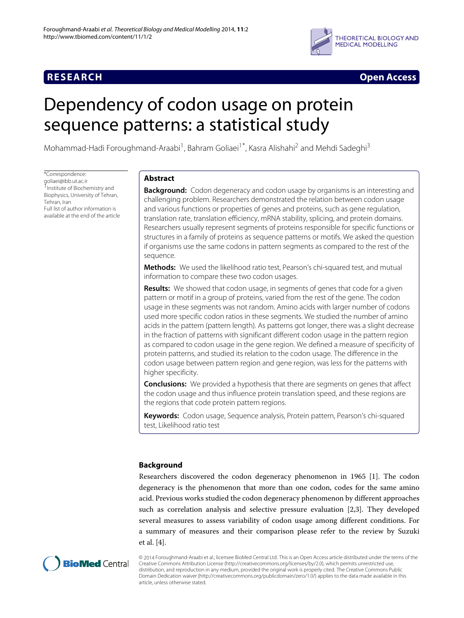



# Dependency of codon usage on protein sequence patterns: a statistical study

Mohammad-Hadi Foroughmand-Araabi<sup>1</sup>, Bahram Goliaei<sup>1\*</sup>, Kasra Alishahi<sup>2</sup> and Mehdi Sadeghi<sup>3</sup>

\*Correspondence: goliaei@ibb.ut.ac.ir Institute of Biochemistry and Biophysics, University of Tehran, Tehran, Iran Full list of author information is available at the end of the article

# **Abstract**

**Background:** Codon degeneracy and codon usage by organisms is an interesting and challenging problem. Researchers demonstrated the relation between codon usage and various functions or properties of genes and proteins, such as gene regulation, translation rate, translation efficiency, mRNA stability, splicing, and protein domains. Researchers usually represent segments of proteins responsible for specific functions or structures in a family of proteins as sequence patterns or motifs. We asked the question if organisms use the same codons in pattern segments as compared to the rest of the sequence.

**Methods:** We used the likelihood ratio test, Pearson's chi-squared test, and mutual information to compare these two codon usages.

**Results:** We showed that codon usage, in segments of genes that code for a given pattern or motif in a group of proteins, varied from the rest of the gene. The codon usage in these segments was not random. Amino acids with larger number of codons used more specific codon ratios in these segments. We studied the number of amino acids in the pattern (pattern length). As patterns got longer, there was a slight decrease in the fraction of patterns with significant different codon usage in the pattern region as compared to codon usage in the gene region. We defined a measure of specificity of protein patterns, and studied its relation to the codon usage. The difference in the codon usage between pattern region and gene region, was less for the patterns with higher specificity.

**Conclusions:** We provided a hypothesis that there are segments on genes that affect the codon usage and thus influence protein translation speed, and these regions are the regions that code protein pattern regions.

**Keywords:** Codon usage, Sequence analysis, Protein pattern, Pearson's chi-squared test, Likelihood ratio test

# **Background**

Researchers discovered the codon degeneracy phenomenon in 1965 [\[1\]](#page-12-0). The codon degeneracy is the phenomenon that more than one codon, codes for the same amino acid. Previous works studied the codon degeneracy phenomenon by different approaches such as correlation analysis and selective pressure evaluation [\[2,](#page-12-1)[3\]](#page-12-2). They developed several measures to assess variability of codon usage among different conditions. For a summary of measures and their comparison please refer to the review by Suzuki et al. [\[4\]](#page-12-3).



© 2014 Foroughmand-Araabi et al.; licensee BioMed Central Ltd. This is an Open Access article distributed under the terms of the Creative Commons Attribution License [\(http://creativecommons.org/licenses/by/2.0\)](http://creativecommons.org/licenses/by/2.0), which permits unrestricted use, distribution, and reproduction in any medium, provided the original work is properly cited. The Creative Commons Public Domain Dedication waiver [\(http://creativecommons.org/publicdomain/zero/1.0/\)](http://creativecommons.org/publicdomain/zero/1.0/) applies to the data made available in this article, unless otherwise stated.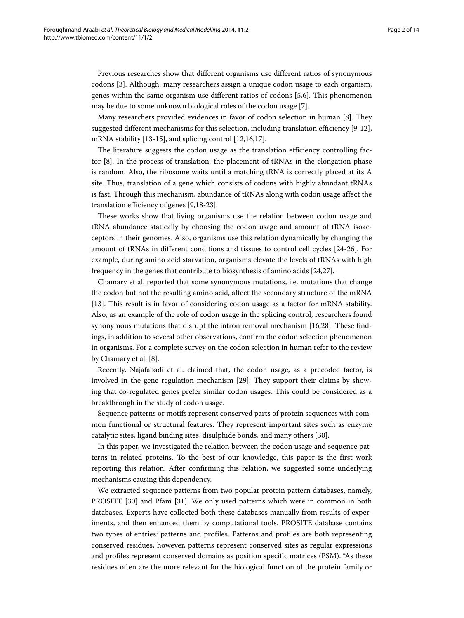Previous researches show that different organisms use different ratios of synonymous codons [\[3\]](#page-12-2). Although, many researchers assign a unique codon usage to each organism, genes within the same organism use different ratios of codons [\[5](#page-12-4)[,6\]](#page-12-5). This phenomenon may be due to some unknown biological roles of the codon usage [\[7\]](#page-12-6).

Many researchers provided evidences in favor of codon selection in human [\[8\]](#page-12-7). They suggested different mechanisms for this selection, including translation efficiency [\[9-](#page-12-8)[12\]](#page-12-9), mRNA stability [\[13](#page-12-10)[-15\]](#page-12-11), and splicing control [\[12,](#page-12-9)[16,](#page-12-12)[17\]](#page-12-13).

The literature suggests the codon usage as the translation efficiency controlling factor [\[8\]](#page-12-7). In the process of translation, the placement of tRNAs in the elongation phase is random. Also, the ribosome waits until a matching tRNA is correctly placed at its A site. Thus, translation of a gene which consists of codons with highly abundant tRNAs is fast. Through this mechanism, abundance of tRNAs along with codon usage affect the translation efficiency of genes [\[9,](#page-12-8)[18](#page-12-14)[-23\]](#page-13-0).

These works show that living organisms use the relation between codon usage and tRNA abundance statically by choosing the codon usage and amount of tRNA isoacceptors in their genomes. Also, organisms use this relation dynamically by changing the amount of tRNAs in different conditions and tissues to control cell cycles [\[24-](#page-13-1)[26\]](#page-13-2). For example, during amino acid starvation, organisms elevate the levels of tRNAs with high frequency in the genes that contribute to biosynthesis of amino acids [\[24,](#page-13-1)[27\]](#page-13-3).

Chamary et al. reported that some synonymous mutations, i.e. mutations that change the codon but not the resulting amino acid, affect the secondary structure of the mRNA [\[13\]](#page-12-10). This result is in favor of considering codon usage as a factor for mRNA stability. Also, as an example of the role of codon usage in the splicing control, researchers found synonymous mutations that disrupt the intron removal mechanism [\[16,](#page-12-12)[28\]](#page-13-4). These findings, in addition to several other observations, confirm the codon selection phenomenon in organisms. For a complete survey on the codon selection in human refer to the review by Chamary et al. [\[8\]](#page-12-7).

Recently, Najafabadi et al. claimed that, the codon usage, as a precoded factor, is involved in the gene regulation mechanism [\[29\]](#page-13-5). They support their claims by showing that co-regulated genes prefer similar codon usages. This could be considered as a breakthrough in the study of codon usage.

Sequence patterns or motifs represent conserved parts of protein sequences with common functional or structural features. They represent important sites such as enzyme catalytic sites, ligand binding sites, disulphide bonds, and many others [\[30\]](#page-13-6).

In this paper, we investigated the relation between the codon usage and sequence patterns in related proteins. To the best of our knowledge, this paper is the first work reporting this relation. After confirming this relation, we suggested some underlying mechanisms causing this dependency.

We extracted sequence patterns from two popular protein pattern databases, namely, PROSITE [\[30\]](#page-13-6) and Pfam [\[31\]](#page-13-7). We only used patterns which were in common in both databases. Experts have collected both these databases manually from results of experiments, and then enhanced them by computational tools. PROSITE database contains two types of entries: patterns and profiles. Patterns and profiles are both representing conserved residues, however, patterns represent conserved sites as regular expressions and profiles represent conserved domains as position specific matrices (PSM). "As these residues often are the more relevant for the biological function of the protein family or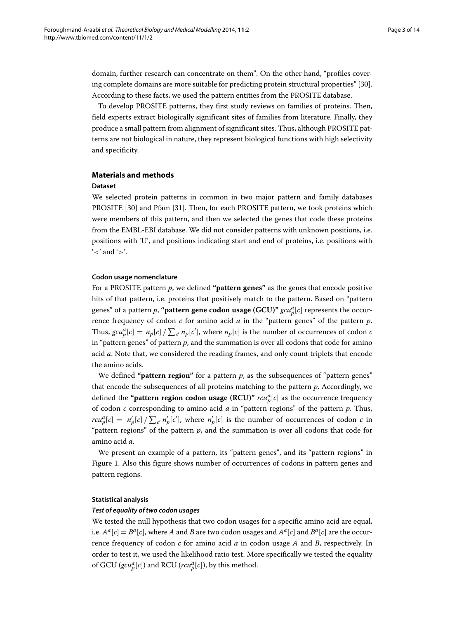domain, further research can concentrate on them". On the other hand, "profiles covering complete domains are more suitable for predicting protein structural properties" [\[30\]](#page-13-6). According to these facts, we used the pattern entities from the PROSITE database.

To develop PROSITE patterns, they first study reviews on families of proteins. Then, field experts extract biologically significant sites of families from literature. Finally, they produce a small pattern from alignment of significant sites. Thus, although PROSITE patterns are not biological in nature, they represent biological functions with high selectivity and specificity.

### **Materials and methods**

### **Dataset**

We selected protein patterns in common in two major pattern and family databases PROSITE [\[30\]](#page-13-6) and Pfam [\[31\]](#page-13-7). Then, for each PROSITE pattern, we took proteins which were members of this pattern, and then we selected the genes that code these proteins from the EMBL-EBI database. We did not consider patterns with unknown positions, i.e. positions with 'U', and positions indicating start and end of proteins, i.e. positions with '*<*' and '*>*'.

#### **Codon usage nomenclature**

For a PROSITE pattern *p*, we defined **"pattern genes"** as the genes that encode positive hits of that pattern, i.e. proteins that positively match to the pattern. Based on "pattern genes" of a pattern  $p$ , "**pattern gene codon usage (GCU)"**  $gcu_p^a[c]$  represents the occurrence frequency of codon *c* for amino acid *a* in the "pattern genes" of the pattern *p*. Thus,  $gcu_p^a[c] = n_p[c] / \sum_{c'} n_p[c']$ , where  $n_p[c]$  is the number of occurrences of codon *c* in "pattern genes" of pattern *p*, and the summation is over all codons that code for amino acid *a*. Note that, we considered the reading frames, and only count triplets that encode the amino acids.

We defined "**pattern region**" for a pattern  $p$ , as the subsequences of "pattern genes" that encode the subsequences of all proteins matching to the pattern *p*. Accordingly, we defined the **"pattern region codon usage (RCU)"**  $rcu_p^a[c]$  as the occurrence frequency of codon *c* corresponding to amino acid *a* in "pattern regions" of the pattern *p*. Thus,  $rcu_p^a[c] = n'_p[c]/\sum_{c'} n'_p[c']$ , where  $n'_p[c]$  is the number of occurrences of codon *c* in "pattern regions" of the pattern *p*, and the summation is over all codons that code for amino acid *a*.

We present an example of a pattern, its "pattern genes", and its "pattern regions" in Figure [1.](#page-3-0) Also this figure shows number of occurrences of codons in pattern genes and pattern regions.

#### **Statistical analysis**

#### *Test of equality of two codon usages*

We tested the null hypothesis that two codon usages for a specific amino acid are equal, i.e.  $A^a[c] = B^a[c]$ , where *A* and *B* are two codon usages and  $A^a[c]$  and  $B^a[c]$  are the occurrence frequency of codon *c* for amino acid *a* in codon usage *A* and *B*, respectively. In order to test it, we used the likelihood ratio test. More specifically we tested the equality of GCU ( $\text{gcd}_p^a[c]$ ) and RCU ( $\text{rcu}_p^a[c]$ ), by this method.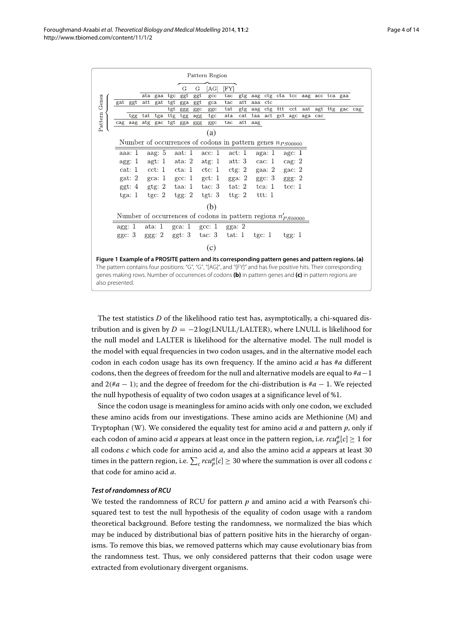| Pattern Region                                                                                                                                                                                                              |     |             |            |            |            |                  |     |                                                                   |            |            |            |             |     |               |                             |               |                 |  |
|-----------------------------------------------------------------------------------------------------------------------------------------------------------------------------------------------------------------------------|-----|-------------|------------|------------|------------|------------------|-----|-------------------------------------------------------------------|------------|------------|------------|-------------|-----|---------------|-----------------------------|---------------|-----------------|--|
|                                                                                                                                                                                                                             |     |             |            |            |            | G                | G   | [AG]                                                              | ſFΥ        |            |            |             |     |               |                             |               |                 |  |
|                                                                                                                                                                                                                             |     |             | at a       | gaa        | tgc        | ggt              | ggt | gcc                                                               | tac        | gtg        | aag        |             |     |               | ctg cta tcc aag acc tca gaa |               |                 |  |
| Pattern Genes                                                                                                                                                                                                               | gat | ggt         | att        | gat        | tgt        | gga              | ggt | gca                                                               | tac        | att        | aaa        | ctc         |     |               |                             |               |                 |  |
|                                                                                                                                                                                                                             |     |             |            |            | tgt        | ggg              | ggc | ggc                                                               | tat        | gtg        | aag        | ctg         | ttt | $\cot$        | aat                         |               | agt ttg gac cag |  |
|                                                                                                                                                                                                                             | cag | tgg<br>aag  | tat<br>atg | tga<br>gac | ttg<br>tgt | tgg<br>gga       | agg | tgc<br>ggc                                                        | ata<br>tac | cat<br>att | taa<br>aag | act         | gct | agc           | aga                         | $_{\rm{cac}}$ |                 |  |
|                                                                                                                                                                                                                             |     |             |            |            |            |                  | ggg |                                                                   |            |            |            |             |     |               |                             |               |                 |  |
|                                                                                                                                                                                                                             |     |             |            |            |            |                  |     | (a)                                                               |            |            |            |             |     |               |                             |               |                 |  |
|                                                                                                                                                                                                                             |     |             |            |            |            |                  |     | Number of occurrences of codons in pattern genes $n_{PS00000}$    |            |            |            |             |     |               |                             |               |                 |  |
|                                                                                                                                                                                                                             |     | $a$ aa: $1$ |            | aag: $5$   |            | aat: $1$         |     | acc: 1                                                            |            | act: 1     |            | aga: 1      |     | ager: 1       |                             |               |                 |  |
|                                                                                                                                                                                                                             |     | $\arg: 1$   |            | agt: $1$   |            | ata: $2$         |     | atg: $1$                                                          |            | att: $3$   |            | $\c{ac:} 1$ |     | cag: $2$      |                             |               |                 |  |
|                                                                                                                                                                                                                             |     | cat: 1      |            | $\cot:~1$  |            | cta: 1           |     | ctc: 1                                                            |            | ctg: $2$   |            | gaa: 2      |     | $\rm{gac:}$ 2 |                             |               |                 |  |
|                                                                                                                                                                                                                             |     | gat: 2      |            | gca: 1     |            | $\gcd: 1$        |     | get: 1                                                            |            | gga: 2     |            | ggc: 3      |     | ggg: 2        |                             |               |                 |  |
|                                                                                                                                                                                                                             |     | ggt: 4      |            | gtg: 2     |            | $\text{taa: } 1$ |     | tac: 3                                                            | tat: 2     |            |            | tca: $1$    |     | tcc: $1$      |                             |               |                 |  |
|                                                                                                                                                                                                                             |     | tga: $1$    |            | tgc: $2$   |            | tgg: $2$         |     | tgt: $3$                                                          |            | ttg: $2$   |            | ttt: $1$    |     |               |                             |               |                 |  |
|                                                                                                                                                                                                                             |     |             |            |            |            |                  |     |                                                                   |            |            |            |             |     |               |                             |               |                 |  |
|                                                                                                                                                                                                                             |     |             |            |            |            |                  |     | (b)                                                               |            |            |            |             |     |               |                             |               |                 |  |
|                                                                                                                                                                                                                             |     |             |            |            |            |                  |     | Number of occurrences of codons in pattern regions $n'_{PS00000}$ |            |            |            |             |     |               |                             |               |                 |  |
|                                                                                                                                                                                                                             |     | $\arg: 1$   |            | ata: $1$   |            | $\gamma$ gca: 1  |     | $\gcd: 1$                                                         | gga: 2     |            |            |             |     |               |                             |               |                 |  |
|                                                                                                                                                                                                                             |     | ggc: 3      |            | ggg: 2     |            | ggt: 3           |     | tac: $3$                                                          | tat: $1$   |            | tgc: $1$   |             |     | tgg:1         |                             |               |                 |  |
|                                                                                                                                                                                                                             |     |             |            |            |            |                  |     |                                                                   |            |            |            |             |     |               |                             |               |                 |  |
| (c)                                                                                                                                                                                                                         |     |             |            |            |            |                  |     |                                                                   |            |            |            |             |     |               |                             |               |                 |  |
| Figure 1 Example of a PROSITE pattern and its corresponding pattern genes and pattern regions. (a)                                                                                                                          |     |             |            |            |            |                  |     |                                                                   |            |            |            |             |     |               |                             |               |                 |  |
| The pattern contains four positions: "G", "G", "[AG]", and "[FY]" and has five positive hits. Their corresponding<br>genes making rows. Number of occurrences of codons (b) in pattern genes and (c) in pattern regions are |     |             |            |            |            |                  |     |                                                                   |            |            |            |             |     |               |                             |               |                 |  |
| also presented.                                                                                                                                                                                                             |     |             |            |            |            |                  |     |                                                                   |            |            |            |             |     |               |                             |               |                 |  |
|                                                                                                                                                                                                                             |     |             |            |            |            |                  |     |                                                                   |            |            |            |             |     |               |                             |               |                 |  |

<span id="page-3-0"></span>The test statistics *D* of the likelihood ratio test has, asymptotically, a chi-squared distribution and is given by  $D = -2 \log(\text{LNULL/LALTER})$ , where LNULL is likelihood for the null model and LALTER is likelihood for the alternative model. The null model is the model with equal frequencies in two codon usages, and in the alternative model each codon in each codon usage has its own frequency. If the amino acid *a* has #*a* different codons, then the degrees of freedom for the null and alternative models are equal to #*a*−1 and 2*(*#*a* − 1*)*; and the degree of freedom for the chi-distribution is #*a* − 1. We rejected the null hypothesis of equality of two codon usages at a significance level of %1.

Since the codon usage is meaningless for amino acids with only one codon, we excluded these amino acids from our investigations. These amino acids are Methionine (M) and Tryptophan (W). We considered the equality test for amino acid *a* and pattern *p*, only if each codon of amino acid *a* appears at least once in the pattern region, i.e.  $rcu_p^a[c] \ge 1$  for all codons *c* which code for amino acid *a*, and also the amino acid *a* appears at least 30 times in the pattern region, i.e.  $\sum_{c} r c u_{p}^{a}[c] \geq 30$  where the summation is over all codons  $c$ that code for amino acid *a*.

# *Test of randomness of RCU*

We tested the randomness of RCU for pattern *p* and amino acid *a* with Pearson's chisquared test to test the null hypothesis of the equality of codon usage with a random theoretical background. Before testing the randomness, we normalized the bias which may be induced by distributional bias of pattern positive hits in the hierarchy of organisms. To remove this bias, we removed patterns which may cause evolutionary bias from the randomness test. Thus, we only considered patterns that their codon usage were extracted from evolutionary divergent organisms.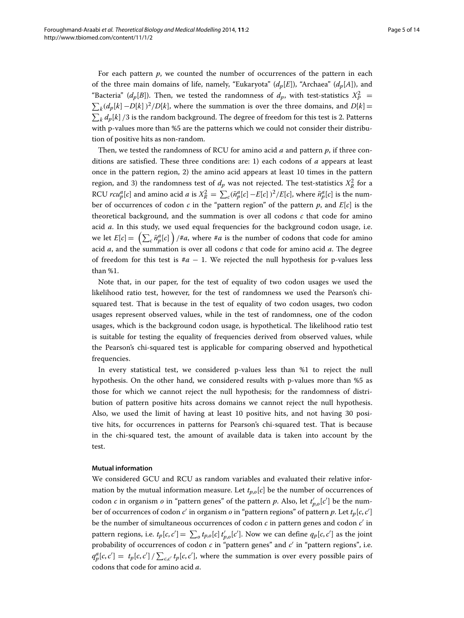For each pattern *p*, we counted the number of occurrences of the pattern in each of the three main domains of life, namely, "Eukaryota" (*dp*[*E*]), "Archaea" (*dp*[*A*]), and "Bacteria" ( $d_p[B]$ ). Then, we tested the randomness of  $d_p$ , with test-statistics  $X_p^2$  =  $\sum_{k} (d_{p}[k] - D[k])^{2}/D[k]$ , where the summation is over the three domains, and  $D[k] =$  $\sum_k d_p[k]$  /3 is the random background. The degree of freedom for this test is 2. Patterns with p-values more than %5 are the patterns which we could not consider their distribution of positive hits as non-random.

Then, we tested the randomness of RCU for amino acid *a* and pattern *p*, if three conditions are satisfied. These three conditions are: 1) each codons of *a* appears at least once in the pattern region, 2) the amino acid appears at least 10 times in the pattern region, and 3) the randomness test of  $d_p$  was not rejected. The test-statistics  $X_R^2$  for a RCU  $rcu_p^a[c]$  and amino acid *a* is  $X_R^2 = \sum_c (\bar{n}_p^a[c] - E[c])^2 / E[c]$ , where  $\bar{n}_p^a[c]$  is the number of occurrences of codon *c* in the "pattern region" of the pattern *p*, and *E*[*c*] is the theoretical background, and the summation is over all codons *c* that code for amino acid *a*. In this study, we used equal frequencies for the background codon usage, i.e. we let  $E[c] = \left( \sum_c \bar{n}_p^a[c] \right) / \#a$ , where  $\#a$  is the number of codons that code for amino acid *a*, and the summation is over all codons *c* that code for amino acid *a*. The degree of freedom for this test is  $#a - 1$ . We rejected the null hypothesis for p-values less than %1.

Note that, in our paper, for the test of equality of two codon usages we used the likelihood ratio test, however, for the test of randomness we used the Pearson's chisquared test. That is because in the test of equality of two codon usages, two codon usages represent observed values, while in the test of randomness, one of the codon usages, which is the background codon usage, is hypothetical. The likelihood ratio test is suitable for testing the equality of frequencies derived from observed values, while the Pearson's chi-squared test is applicable for comparing observed and hypothetical frequencies.

In every statistical test, we considered p-values less than %1 to reject the null hypothesis. On the other hand, we considered results with p-values more than %5 as those for which we cannot reject the null hypothesis; for the randomness of distribution of pattern positive hits across domains we cannot reject the null hypothesis. Also, we used the limit of having at least 10 positive hits, and not having 30 positive hits, for occurrences in patterns for Pearson's chi-squared test. That is because in the chi-squared test, the amount of available data is taken into account by the test.

### **Mutual information**

We considered GCU and RCU as random variables and evaluated their relative information by the mutual information measure. Let  $t_{p,o}[c]$  be the number of occurrences of codon *c* in organism *o* in "pattern genes" of the pattern *p*. Also, let  $t'_{p,o}[c']$  be the number of occurrences of codon  $c'$  in organism  $o$  in "pattern regions" of pattern  $p.$  Let  $t_p[c,c']$ be the number of simultaneous occurrences of codon *c* in pattern genes and codon *c*- in pattern regions, i.e.  $t_p[c, c'] = \sum_o t_{p,o}[c] t'_{p,o}[c']$ . Now we can define  $q_p[c, c']$  as the joint probability of occurrences of codon *c* in "pattern genes" and *c*- in "pattern regions", i.e.  $q_p^a[c, c'] = t_p[c, c'] / \sum_{c, c'} t_p[c, c']$ , where the summation is over every possible pairs of codons that code for amino acid *a*.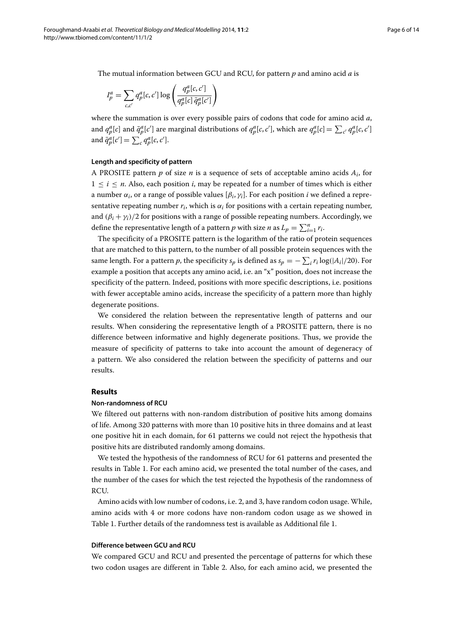The mutual information between GCU and RCU, for pattern *p* and amino acid *a* is

$$
I_p^a = \sum_{c,c'} q_p^a[c,c'] \log \left( \frac{q_p^a[c,c']}{q_p^a[c] \bar{q}_p^a[c']} \right)
$$

where the summation is over every possible pairs of codons that code for amino acid *a*, and  $q_p^a[c]$  and  $\bar{q}_p^a[c']$  are marginal distributions of  $q_p^a[c,c']$ , which are  $q_p^a[c]=\sum_{c'}q_p^a[c,c']$ and  $\bar{q}^a_p[c'] = \sum_c q^a_p[c, c']$ .

# **Length and specificity of pattern**

A PROSITE pattern *p* of size *n* is a sequence of sets of acceptable amino acids *Ai*, for  $1 \leq i \leq n$ . Also, each position *i*, may be repeated for a number of times which is either a number  $\alpha_i$ , or a range of possible values  $[\beta_i, \gamma_i]$ . For each position *i* we defined a representative repeating number  $r_i$ , which is  $\alpha_i$  for positions with a certain repeating number, and  $(\beta_i + \gamma_i)/2$  for positions with a range of possible repeating numbers. Accordingly, we define the representative length of a pattern *p* with size *n* as  $L_p = \sum_{i=1}^n r_i$ .

The specificity of a PROSITE pattern is the logarithm of the ratio of protein sequences that are matched to this pattern, to the number of all possible protein sequences with the same length. For a pattern  $p$ , the specificity  $s_p$  is defined as  $s_p = -\sum_i r_i \log(|A_i|/20)$ . For example a position that accepts any amino acid, i.e. an "x" position, does not increase the specificity of the pattern. Indeed, positions with more specific descriptions, i.e. positions with fewer acceptable amino acids, increase the specificity of a pattern more than highly degenerate positions.

We considered the relation between the representative length of patterns and our results. When considering the representative length of a PROSITE pattern, there is no difference between informative and highly degenerate positions. Thus, we provide the measure of specificity of patterns to take into account the amount of degeneracy of a pattern. We also considered the relation between the specificity of patterns and our results.

#### **Results**

#### **Non-randomness of RCU**

We filtered out patterns with non-random distribution of positive hits among domains of life. Among 320 patterns with more than 10 positive hits in three domains and at least one positive hit in each domain, for 61 patterns we could not reject the hypothesis that positive hits are distributed randomly among domains.

We tested the hypothesis of the randomness of RCU for 61 patterns and presented the results in Table [1.](#page-6-0) For each amino acid, we presented the total number of the cases, and the number of the cases for which the test rejected the hypothesis of the randomness of RCU.

Amino acids with low number of codons, i.e. 2, and 3, have random codon usage. While, amino acids with 4 or more codons have non-random codon usage as we showed in Table [1.](#page-6-0) Further details of the randomness test is available as Additional file [1.](#page-12-15)

#### **Difference between GCU and RCU**

We compared GCU and RCU and presented the percentage of patterns for which these two codon usages are different in Table [2.](#page-6-1) Also, for each amino acid, we presented the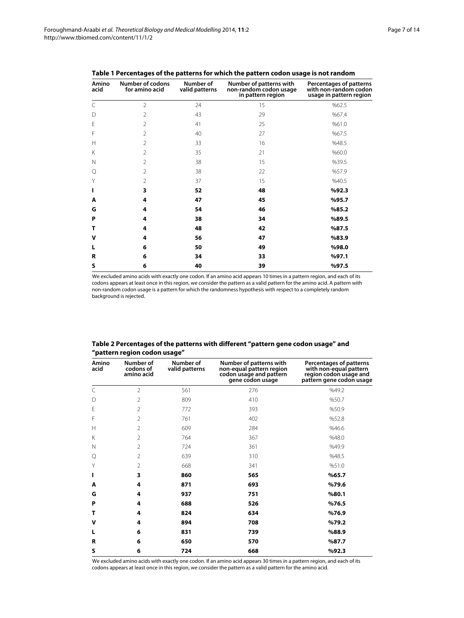<span id="page-6-0"></span>

| Amino<br>acid | Number of codons<br>for amino acid | Number of<br>valid patterns | Number of patterns with<br>non-random codon usage<br>in pattern region | Percentages of patterns<br>with non-random codon<br>usage in pattern region |
|---------------|------------------------------------|-----------------------------|------------------------------------------------------------------------|-----------------------------------------------------------------------------|
| $\subset$     | $\overline{2}$                     | 24                          | 15                                                                     | %62.5                                                                       |
| D             | 2                                  | 43                          | 29                                                                     | %67.4                                                                       |
| E             | $\overline{2}$                     | 41                          | 25                                                                     | %61.0                                                                       |
| F             | 2                                  | 40                          | 27                                                                     | %67.5                                                                       |
| H             | 2                                  | 33                          | 16                                                                     | %48.5                                                                       |
| Κ             | 2                                  | 35                          | 21                                                                     | %60.0                                                                       |
| N             | $\overline{2}$                     | 38                          | 15                                                                     | %39.5                                                                       |
| Q             | $\overline{2}$                     | 38                          | 22                                                                     | %57.9                                                                       |
| Y             | $\overline{2}$                     | 37                          | 15                                                                     | %40.5                                                                       |
| ı             | 3                                  | 52                          | 48                                                                     | %92.3                                                                       |
| A             | 4                                  | 47                          | 45                                                                     | %95.7                                                                       |
| G             | 4                                  | 54                          | 46                                                                     | %85.2                                                                       |
| P             | 4                                  | 38                          | 34                                                                     | %89.5                                                                       |
| т             | 4                                  | 48                          | 42                                                                     | %87.5                                                                       |
| v             | 4                                  | 56                          | 47                                                                     | %83.9                                                                       |
| L             | 6                                  | 50                          | 49                                                                     | %98.0                                                                       |
| R             | 6                                  | 34                          | 33                                                                     | %97.1                                                                       |
| S             | 6                                  | 40                          | 39                                                                     | %97.5                                                                       |

**Table 1 Percentages of the patterns for which the pattern codon usage is not random**

We excluded amino acids with exactly one codon. If an amino acid appears 10 times in a pattern region, and each of its codons appears at least once in this region, we consider the pattern as a valid pattern for the amino acid. A pattern with non-random codon usage is a pattern for which the randomness hypothesis with respect to a completely random background is rejected.

| Amino<br>acid | Number of<br>codons of<br>amino acid | Number of<br>valid patterns | Number of patterns with<br>non-equal pattern region<br>codon usage and pattern<br>gene codon usage | Percentages of patterns<br>with non-equal pattern<br>region codon usage and<br>pattern gene codon usage |
|---------------|--------------------------------------|-----------------------------|----------------------------------------------------------------------------------------------------|---------------------------------------------------------------------------------------------------------|
| C             | $\overline{2}$                       | 561                         | 276                                                                                                | %49.2                                                                                                   |
| D             | 2                                    | 809                         | 410                                                                                                | %50.7                                                                                                   |
| Ε             | 2                                    | 772                         | 393                                                                                                | %50.9                                                                                                   |
| F             | $\overline{2}$                       | 761                         | 402                                                                                                | %52.8                                                                                                   |
| Н             | 2                                    | 609                         | 284                                                                                                | %46.6                                                                                                   |
| Κ             | 2                                    | 764                         | 367                                                                                                | %48.0                                                                                                   |
| Ν             | 2                                    | 724                         | 361                                                                                                | %49.9                                                                                                   |
| Q             | 2                                    | 639                         | 310                                                                                                | %48.5                                                                                                   |
| Υ             | 2                                    | 668                         | 341                                                                                                | %51.0                                                                                                   |
|               | 3                                    | 860                         | 565                                                                                                | %65.7                                                                                                   |
| A             | 4                                    | 871                         | 693                                                                                                | %79.6                                                                                                   |
| G             | 4                                    | 937                         | 751                                                                                                | %80.1                                                                                                   |
| P             | 4                                    | 688                         | 526                                                                                                | %76.5                                                                                                   |
| т             | 4                                    | 824                         | 634                                                                                                | %76.9                                                                                                   |
| v             | 4                                    | 894                         | 708                                                                                                | %79.2                                                                                                   |
|               | 6                                    | 831                         | 739                                                                                                | %88.9                                                                                                   |
| R             | 6                                    | 650                         | 570                                                                                                | %87.7                                                                                                   |
| S             | 6                                    | 724                         | 668                                                                                                | %92.3                                                                                                   |

<span id="page-6-1"></span>**Table 2 Percentages of the patterns with different "pattern gene codon usage" and "pattern region codon usage"**

We excluded amino acids with exactly one codon. If an amino acid appears 30 times in a pattern region, and each of its codons appears at least once in this region, we consider the pattern as a valid pattern for the amino acid.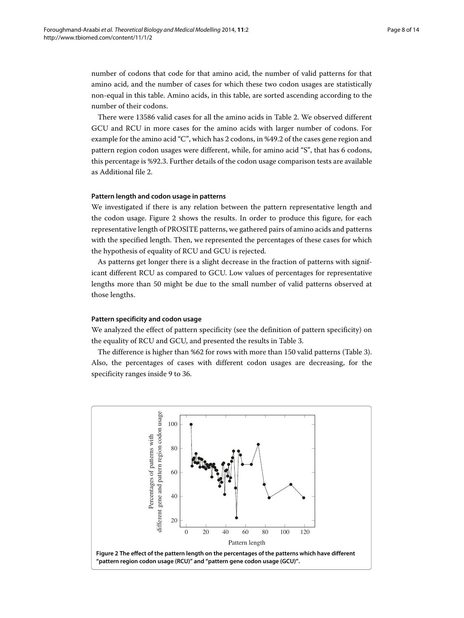number of codons that code for that amino acid, the number of valid patterns for that amino acid, and the number of cases for which these two codon usages are statistically non-equal in this table. Amino acids, in this table, are sorted ascending according to the number of their codons.

There were 13586 valid cases for all the amino acids in Table [2.](#page-6-1) We observed different GCU and RCU in more cases for the amino acids with larger number of codons. For example for the amino acid "C", which has 2 codons, in %49.2 of the cases gene region and pattern region codon usages were different, while, for amino acid "S", that has 6 codons, this percentage is %92.3. Further details of the codon usage comparison tests are available as Additional file [2.](#page-12-16)

# **Pattern length and codon usage in patterns**

We investigated if there is any relation between the pattern representative length and the codon usage. Figure [2](#page-7-0) shows the results. In order to produce this figure, for each representative length of PROSITE patterns, we gathered pairs of amino acids and patterns with the specified length. Then, we represented the percentages of these cases for which the hypothesis of equality of RCU and GCU is rejected.

As patterns get longer there is a slight decrease in the fraction of patterns with significant different RCU as compared to GCU. Low values of percentages for representative lengths more than 50 might be due to the small number of valid patterns observed at those lengths.

# **Pattern specificity and codon usage**

We analyzed the effect of pattern specificity (see the definition of pattern specificity) on the equality of RCU and GCU, and presented the results in Table [3.](#page-8-0)

The difference is higher than %62 for rows with more than 150 valid patterns (Table [3\)](#page-8-0). Also, the percentages of cases with different codon usages are decreasing, for the specificity ranges inside 9 to 36.

<span id="page-7-0"></span>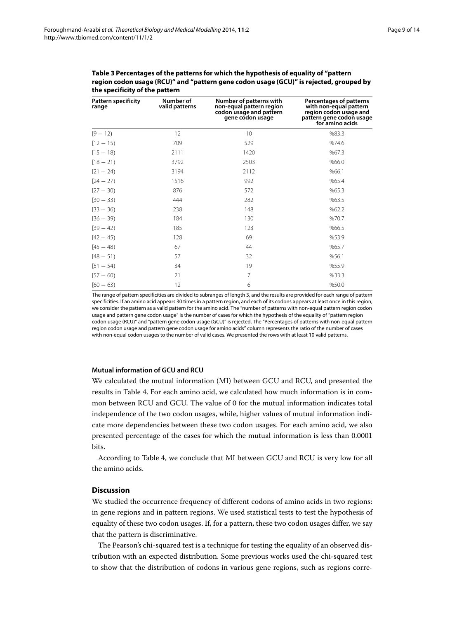<span id="page-8-0"></span>

| Table 3 Percentages of the patterns for which the hypothesis of equality of "pattern   |
|----------------------------------------------------------------------------------------|
| region codon usage (RCU)" and "pattern gene codon usage (GCU)" is rejected, grouped by |
| the specificity of the pattern                                                         |

| <b>Pattern specificity</b><br>range | Number of<br>valid patterns | Number of patterns with<br>non-equal pattern region<br>codon usage and pattern<br>gene codon usage | Percentages of patterns<br>with non-equal pattern<br>region codon usage and<br>pattern gene codon usage<br>for amino acids |
|-------------------------------------|-----------------------------|----------------------------------------------------------------------------------------------------|----------------------------------------------------------------------------------------------------------------------------|
| $[9 - 12)$                          | 12                          | 10                                                                                                 | %83.3                                                                                                                      |
| $[12 - 15)$                         | 709                         | 529                                                                                                | %74.6                                                                                                                      |
| $[15 - 18]$                         | 2111                        | 1420                                                                                               | %67.3                                                                                                                      |
| $[18 - 21)$                         | 3792                        | 2503                                                                                               | %66.0                                                                                                                      |
| $[21 - 24)$                         | 3194                        | 2112                                                                                               | %66.1                                                                                                                      |
| $[24 - 27)$                         | 1516                        | 992                                                                                                | %65.4                                                                                                                      |
| $[27 - 30)$                         | 876                         | 572                                                                                                | %65.3                                                                                                                      |
| $[30 - 33)$                         | 444                         | 282                                                                                                | %63.5                                                                                                                      |
| $[33 - 36)$                         | 238                         | 148                                                                                                | %62.2                                                                                                                      |
| $[36 - 39]$                         | 184                         | 130                                                                                                | %70.7                                                                                                                      |
| $[39 - 42)$                         | 185                         | 123                                                                                                | %66.5                                                                                                                      |
| $[42 - 45]$                         | 128                         | 69                                                                                                 | %53.9                                                                                                                      |
| $[45 - 48]$                         | 67                          | 44                                                                                                 | %65.7                                                                                                                      |
| $[48 - 51)$                         | 57                          | 32                                                                                                 | %56.1                                                                                                                      |
| $[51 - 54)$                         | 34                          | 19                                                                                                 | %55.9                                                                                                                      |
| $[57 - 60)$                         | 21                          | 7                                                                                                  | %33.3                                                                                                                      |
| $[60 - 63)$                         | 12                          | 6                                                                                                  | %50.0                                                                                                                      |

The range of pattern specificities are divided to subranges of length 3, and the results are provided for each range of pattern specificities. If an amino acid appears 30 times in a pattern region, and each of its codons appears at least once in this region, we consider the pattern as a valid pattern for the amino acid. The "number of patterns with non-equal pattern region codon usage and pattern gene codon usage" is the number of cases for which the hypothesis of the equality of "pattern region codon usage (RCU)" and "pattern gene codon usage (GCU)" is rejected. The "Percentages of patterns with non-equal pattern region codon usage and pattern gene codon usage for amino acids" column represents the ratio of the number of cases with non-equal codon usages to the number of valid cases. We presented the rows with at least 10 valid patterns.

### **Mutual information of GCU and RCU**

We calculated the mutual information (MI) between GCU and RCU, and presented the results in Table [4.](#page-9-0) For each amino acid, we calculated how much information is in common between RCU and GCU. The value of 0 for the mutual information indicates total independence of the two codon usages, while, higher values of mutual information indicate more dependencies between these two codon usages. For each amino acid, we also presented percentage of the cases for which the mutual information is less than 0.0001 bits.

According to Table [4,](#page-9-0) we conclude that MI between GCU and RCU is very low for all the amino acids.

# **Discussion**

We studied the occurrence frequency of different codons of amino acids in two regions: in gene regions and in pattern regions. We used statistical tests to test the hypothesis of equality of these two codon usages. If, for a pattern, these two codon usages differ, we say that the pattern is discriminative.

The Pearson's chi-squared test is a technique for testing the equality of an observed distribution with an expected distribution. Some previous works used the chi-squared test to show that the distribution of codons in various gene regions, such as regions corre-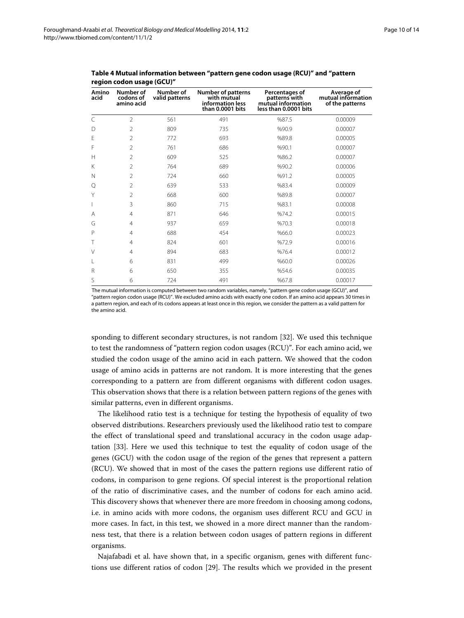| Amino<br>acid | Number of<br>codons of<br>amino acid | Number of<br>valid patterns | Number of patterns<br>with mutual<br>information less<br>than 0.0001 bits | Percentages of<br>patterns with<br>mutual information<br>less than 0.0001 bits | Average of<br>mutual information<br>of the patterns |
|---------------|--------------------------------------|-----------------------------|---------------------------------------------------------------------------|--------------------------------------------------------------------------------|-----------------------------------------------------|
| C             | $\overline{2}$                       | 561                         | 491                                                                       | %87.5                                                                          | 0.00009                                             |
| D             | 2                                    | 809                         | 735                                                                       | %90.9                                                                          | 0.00007                                             |
| E             | $\mathfrak{D}$                       | 772                         | 693                                                                       | %89.8                                                                          | 0.00005                                             |
| F             | 2                                    | 761                         | 686                                                                       | %90.1                                                                          | 0.00007                                             |
| H             | $\mathfrak{D}$                       | 609                         | 525                                                                       | %86.2                                                                          | 0.00007                                             |
| Κ             | 2                                    | 764                         | 689                                                                       | %90.2                                                                          | 0.00006                                             |
| N             | 2                                    | 724                         | 660                                                                       | %91.2                                                                          | 0.00005                                             |
| Q             | 2                                    | 639                         | 533                                                                       | %83.4                                                                          | 0.00009                                             |
| Y             | 2                                    | 668                         | 600                                                                       | %89.8                                                                          | 0.00007                                             |
|               | 3                                    | 860                         | 715                                                                       | %83.1                                                                          | 0.00008                                             |
| A             | $\overline{4}$                       | 871                         | 646                                                                       | %74.2                                                                          | 0.00015                                             |
| G             | $\overline{4}$                       | 937                         | 659                                                                       | %70.3                                                                          | 0.00018                                             |
| P             | $\overline{4}$                       | 688                         | 454                                                                       | %66.0                                                                          | 0.00023                                             |
| Т             | 4                                    | 824                         | 601                                                                       | %72.9                                                                          | 0.00016                                             |
| V             | $\overline{4}$                       | 894                         | 683                                                                       | %76.4                                                                          | 0.00012                                             |
|               | 6                                    | 831                         | 499                                                                       | %60.0                                                                          | 0.00026                                             |
| R             | 6                                    | 650                         | 355                                                                       | %54.6                                                                          | 0.00035                                             |
| S             | 6                                    | 724                         | 491                                                                       | %67.8                                                                          | 0.00017                                             |

<span id="page-9-0"></span>**Table 4 Mutual information between "pattern gene codon usage (RCU)" and "pattern region codon usage (GCU)"**

The mutual information is computed between two random variables, namely, "pattern gene codon usage (GCU)", and "pattern region codon usage (RCU)". We excluded amino acids with exactly one codon. If an amino acid appears 30 times in a pattern region, and each of its codons appears at least once in this region, we consider the pattern as a valid pattern for the amino acid.

sponding to different secondary structures, is not random [\[32\]](#page-13-8). We used this technique to test the randomness of "pattern region codon usages (RCU)". For each amino acid, we studied the codon usage of the amino acid in each pattern. We showed that the codon usage of amino acids in patterns are not random. It is more interesting that the genes corresponding to a pattern are from different organisms with different codon usages. This observation shows that there is a relation between pattern regions of the genes with similar patterns, even in different organisms.

The likelihood ratio test is a technique for testing the hypothesis of equality of two observed distributions. Researchers previously used the likelihood ratio test to compare the effect of translational speed and translational accuracy in the codon usage adaptation [\[33\]](#page-13-9). Here we used this technique to test the equality of codon usage of the genes (GCU) with the codon usage of the region of the genes that represent a pattern (RCU). We showed that in most of the cases the pattern regions use different ratio of codons, in comparison to gene regions. Of special interest is the proportional relation of the ratio of discriminative cases, and the number of codons for each amino acid. This discovery shows that whenever there are more freedom in choosing among codons, i.e. in amino acids with more codons, the organism uses different RCU and GCU in more cases. In fact, in this test, we showed in a more direct manner than the randomness test, that there is a relation between codon usages of pattern regions in different organisms.

Najafabadi et al. have shown that, in a specific organism, genes with different functions use different ratios of codon [\[29\]](#page-13-5). The results which we provided in the present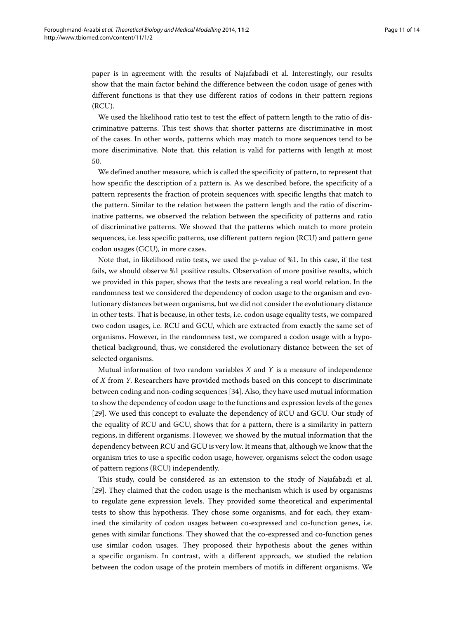paper is in agreement with the results of Najafabadi et al. Interestingly, our results show that the main factor behind the difference between the codon usage of genes with different functions is that they use different ratios of codons in their pattern regions (RCU).

We used the likelihood ratio test to test the effect of pattern length to the ratio of discriminative patterns. This test shows that shorter patterns are discriminative in most of the cases. In other words, patterns which may match to more sequences tend to be more discriminative. Note that, this relation is valid for patterns with length at most 50.

We defined another measure, which is called the specificity of pattern, to represent that how specific the description of a pattern is. As we described before, the specificity of a pattern represents the fraction of protein sequences with specific lengths that match to the pattern. Similar to the relation between the pattern length and the ratio of discriminative patterns, we observed the relation between the specificity of patterns and ratio of discriminative patterns. We showed that the patterns which match to more protein sequences, i.e. less specific patterns, use different pattern region (RCU) and pattern gene codon usages (GCU), in more cases.

Note that, in likelihood ratio tests, we used the p-value of %1. In this case, if the test fails, we should observe %1 positive results. Observation of more positive results, which we provided in this paper, shows that the tests are revealing a real world relation. In the randomness test we considered the dependency of codon usage to the organism and evolutionary distances between organisms, but we did not consider the evolutionary distance in other tests. That is because, in other tests, i.e. codon usage equality tests, we compared two codon usages, i.e. RCU and GCU, which are extracted from exactly the same set of organisms. However, in the randomness test, we compared a codon usage with a hypothetical background, thus, we considered the evolutionary distance between the set of selected organisms.

Mutual information of two random variables *X* and *Y* is a measure of independence of *X* from *Y*. Researchers have provided methods based on this concept to discriminate between coding and non-coding sequences [\[34\]](#page-13-10). Also, they have used mutual information to show the dependency of codon usage to the functions and expression levels of the genes [\[29\]](#page-13-5). We used this concept to evaluate the dependency of RCU and GCU. Our study of the equality of RCU and GCU, shows that for a pattern, there is a similarity in pattern regions, in different organisms. However, we showed by the mutual information that the dependency between RCU and GCU is very low. It means that, although we know that the organism tries to use a specific codon usage, however, organisms select the codon usage of pattern regions (RCU) independently.

This study, could be considered as an extension to the study of Najafabadi et al. [\[29\]](#page-13-5). They claimed that the codon usage is the mechanism which is used by organisms to regulate gene expression levels. They provided some theoretical and experimental tests to show this hypothesis. They chose some organisms, and for each, they examined the similarity of codon usages between co-expressed and co-function genes, i.e. genes with similar functions. They showed that the co-expressed and co-function genes use similar codon usages. They proposed their hypothesis about the genes within a specific organism. In contrast, with a different approach, we studied the relation between the codon usage of the protein members of motifs in different organisms. We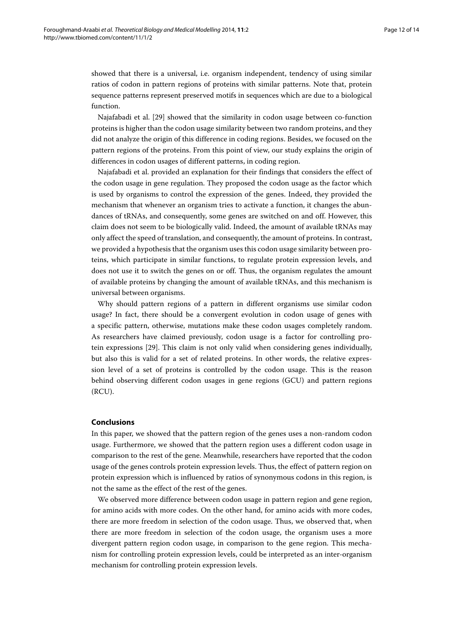showed that there is a universal, i.e. organism independent, tendency of using similar ratios of codon in pattern regions of proteins with similar patterns. Note that, protein sequence patterns represent preserved motifs in sequences which are due to a biological function.

Najafabadi et al. [\[29\]](#page-13-5) showed that the similarity in codon usage between co-function proteins is higher than the codon usage similarity between two random proteins, and they did not analyze the origin of this difference in coding regions. Besides, we focused on the pattern regions of the proteins. From this point of view, our study explains the origin of differences in codon usages of different patterns, in coding region.

Najafabadi et al. provided an explanation for their findings that considers the effect of the codon usage in gene regulation. They proposed the codon usage as the factor which is used by organisms to control the expression of the genes. Indeed, they provided the mechanism that whenever an organism tries to activate a function, it changes the abundances of tRNAs, and consequently, some genes are switched on and off. However, this claim does not seem to be biologically valid. Indeed, the amount of available tRNAs may only affect the speed of translation, and consequently, the amount of proteins. In contrast, we provided a hypothesis that the organism uses this codon usage similarity between proteins, which participate in similar functions, to regulate protein expression levels, and does not use it to switch the genes on or off. Thus, the organism regulates the amount of available proteins by changing the amount of available tRNAs, and this mechanism is universal between organisms.

Why should pattern regions of a pattern in different organisms use similar codon usage? In fact, there should be a convergent evolution in codon usage of genes with a specific pattern, otherwise, mutations make these codon usages completely random. As researchers have claimed previously, codon usage is a factor for controlling protein expressions [\[29\]](#page-13-5). This claim is not only valid when considering genes individually, but also this is valid for a set of related proteins. In other words, the relative expression level of a set of proteins is controlled by the codon usage. This is the reason behind observing different codon usages in gene regions (GCU) and pattern regions (RCU).

### **Conclusions**

In this paper, we showed that the pattern region of the genes uses a non-random codon usage. Furthermore, we showed that the pattern region uses a different codon usage in comparison to the rest of the gene. Meanwhile, researchers have reported that the codon usage of the genes controls protein expression levels. Thus, the effect of pattern region on protein expression which is influenced by ratios of synonymous codons in this region, is not the same as the effect of the rest of the genes.

We observed more difference between codon usage in pattern region and gene region, for amino acids with more codes. On the other hand, for amino acids with more codes, there are more freedom in selection of the codon usage. Thus, we observed that, when there are more freedom in selection of the codon usage, the organism uses a more divergent pattern region codon usage, in comparison to the gene region. This mechanism for controlling protein expression levels, could be interpreted as an inter-organism mechanism for controlling protein expression levels.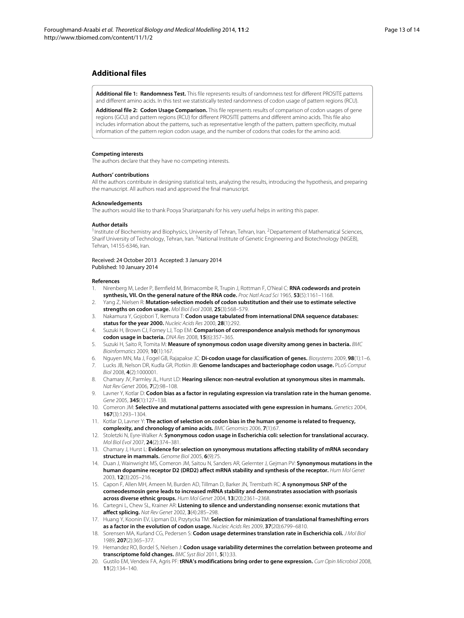# **Additional files**

<span id="page-12-15"></span>**[Additional file 1:](http://www.biomedcentral.com/content/supplementary/1742-4682-11-2-S1.xlsx) Randomness Test.** This file represents results of randomness test for different PROSITE patterns and different amino acids. In this test we statistically tested randomness of codon usage of pattern regions (RCU).

<span id="page-12-16"></span>**[Additional file 2:](http://www.biomedcentral.com/content/supplementary/1742-4682-11-2-S2.xlsx) Codon Usage Comparison.** This file represents results of comparison of codon usages of gene regions (GCU) and pattern regions (RCU) for different PROSITE patterns and different amino acids. This file also includes information about the patterns, such as representative length of the pattern, pattern specificity, mutual information of the pattern region codon usage, and the number of codons that codes for the amino acid.

#### **Competing interests**

The authors declare that they have no competing interests.

#### **Authors' contributions**

All the authors contribute in designing statistical tests, analyzing the results, introducing the hypothesis, and preparing the manuscript. All authors read and approved the final manuscript.

#### **Acknowledgements**

The authors would like to thank Pooya Shariatpanahi for his very useful helps in writing this paper.

#### **Author details**

<sup>1</sup> Institute of Biochemistry and Biophysics, University of Tehran, Tehran, Iran. <sup>2</sup> Departement of Mathematical Sciences, Sharif University of Technology, Tehran, Iran. <sup>3</sup>National Institute of Genetic Engineering and Biotechnology (NIGEB), Tehran, 14155-6346, Iran.

#### Received: 24 October 2013 Accepted: 3 January 2014 Published: 10 January 2014

#### **References**

- <span id="page-12-0"></span>1. Nirenberg M, Leder P, Bernfield M, Brimacombe R, Trupin J, Rottman F, O'Neal C: **RNA codewords and protein synthesis, VII. On the general nature of the RNA code.** Proc Natl Acad Sci 1965, **53**(5):1161–1168.
- <span id="page-12-1"></span>2. Yang Z, Nielsen R: **Mutation-selection models of codon substitution and their use to estimate selective strengths on codon usage.** Mol Biol Evol 2008, **25**(3):568–579.
- <span id="page-12-2"></span>3. Nakamura Y, Gojobori T, Ikemura T: **Codon usage tabulated from international DNA sequence databases: status for the year 2000.** Nucleic Acids Res 2000, **28**(1):292.
- <span id="page-12-3"></span>4. Suzuki H, Brown CJ, Forney LJ, Top EM: **Comparison of correspondence analysis methods for synonymous codon usage in bacteria.** DNA Res 2008, **15**(6):357–365.
- <span id="page-12-4"></span>5. Suzuki H, Saito R, Tomita M: **Measure of synonymous codon usage diversity among genes in bacteria.** BMC Bioinformatics 2009, **10**(1):167.
- <span id="page-12-5"></span>6. Nguyen MN, Ma J, Fogel GB, Rajapakse JC: **Di-codon usage for classification of genes.** Biosystems 2009, **98**(1):1–6. 7. Lucks JB, Nelson DR, Kudla GR, Plotkin JB: **Genome landscapes and bacteriophage codon usage.** PLoS Comput
- <span id="page-12-6"></span>Biol 2008, **4**(2):1000001.
- <span id="page-12-7"></span>8. Chamary JV, Parmley JL, Hurst LD: **Hearing silence: non-neutral evolution at synonymous sites in mammals.** Nat Rev Genet 2006, **7**(2):98–108.
- <span id="page-12-8"></span>9. Lavner Y, Kotlar D: **Codon bias as a factor in regulating expression via translation rate in the human genome.** Gene 2005, **345**(1):127–138.
- 10. Comeron JM: **Selective and mutational patterns associated with gene expression in humans.** Genetics 2004, **167**(3):1293–1304.
- 11. Kotlar D, Lavner Y: **The action of selection on codon bias in the human genome is related to frequency, complexity, and chronology of amino acids.** BMC Genomics 2006, **7**(1):67.
- <span id="page-12-9"></span>12. Stoletzki N, Eyre-Walker A: **Synonymous codon usage in Escherichia coli: selection for translational accuracy.** Mol Biol Evol 2007, **24**(2):374–381.
- <span id="page-12-10"></span>13. Chamary J, Hurst L: **Evidence for selection on synonymous mutations affecting stability of mRNA secondary structure in mammals.** Genome Biol 2005, **6**(9):75.
- 14. Duan J, Wainwright MS, Comeron JM, Saitou N, Sanders AR, Gelernter J, Gejman PV: **Synonymous mutations in the human dopamine receptor D2 (DRD2) affect mRNA stability and synthesis of the receptor.** Hum Mol Genet 2003, **12**(3):205–216.
- <span id="page-12-11"></span>15. Capon F, Allen MH, Ameen M, Burden AD, Tillman D, Barker JN, Trembath RC: **A synonymous SNP of the corneodesmosin gene leads to increased mRNA stability and demonstrates association with psoriasis across diverse ethnic groups.** Hum Mol Genet 2004, **13**(20):2361–2368.
- <span id="page-12-12"></span>16. Cartegni L, Chew SL, Krainer AR: **Listening to silence and understanding nonsense: exonic mutations that affect splicing.** Nat Rev Genet 2002, **3**(4):285–298.
- <span id="page-12-13"></span>17. Huang Y, Koonin EV, Lipman DJ, Przytycka TM: **Selection for minimization of translational frameshifting errors as a factor in the evolution of codon usage.** Nucleic Acids Res 2009, **37**(20):6799–6810.
- <span id="page-12-14"></span>18. Sorensen MA, Kurland CG, Pedersen S: **Codon usage determines translation rate in Escherichia coli.** J Mol Biol 1989, **207**(2):365–377.
- 19. Hernandez RO, Bordel S, Nielsen J: **Codon usage variability determines the correlation between proteome and transcriptome fold changes.** BMC Syst Biol 2011, **5**(1):33.
- 20. Gustilo EM, Vendeix FA, Agris PF: **tRNA's modifications bring order to gene expression.** Curr Opin Microbiol 2008, **11**(2):134–140.